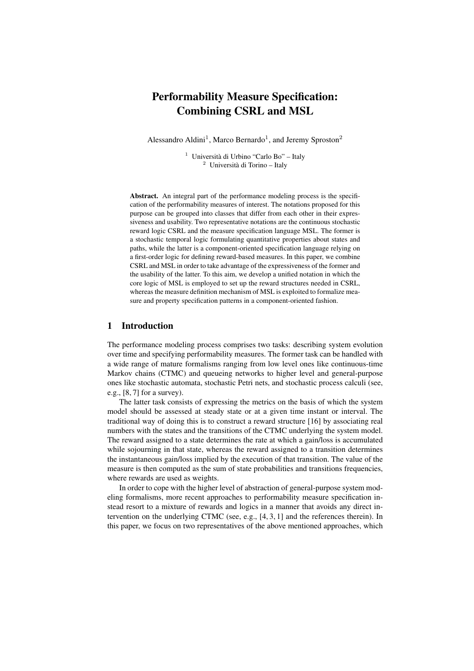# Performability Measure Specification: Combining CSRL and MSL

Alessandro Aldini<sup>1</sup>, Marco Bernardo<sup>1</sup>, and Jeremy Sproston<sup>2</sup>

<sup>1</sup> Università di Urbino "Carlo Bo" – Italy  $2$  Università di Torino – Italy

Abstract. An integral part of the performance modeling process is the specification of the performability measures of interest. The notations proposed for this purpose can be grouped into classes that differ from each other in their expressiveness and usability. Two representative notations are the continuous stochastic reward logic CSRL and the measure specification language MSL. The former is a stochastic temporal logic formulating quantitative properties about states and paths, while the latter is a component-oriented specification language relying on a first-order logic for defining reward-based measures. In this paper, we combine CSRL and MSL in order to take advantage of the expressiveness of the former and the usability of the latter. To this aim, we develop a unified notation in which the core logic of MSL is employed to set up the reward structures needed in CSRL, whereas the measure definition mechanism of MSL is exploited to formalize measure and property specification patterns in a component-oriented fashion.

## 1 Introduction

The performance modeling process comprises two tasks: describing system evolution over time and specifying performability measures. The former task can be handled with a wide range of mature formalisms ranging from low level ones like continuous-time Markov chains (CTMC) and queueing networks to higher level and general-purpose ones like stochastic automata, stochastic Petri nets, and stochastic process calculi (see, e.g., [8, 7] for a survey).

The latter task consists of expressing the metrics on the basis of which the system model should be assessed at steady state or at a given time instant or interval. The traditional way of doing this is to construct a reward structure [16] by associating real numbers with the states and the transitions of the CTMC underlying the system model. The reward assigned to a state determines the rate at which a gain/loss is accumulated while sojourning in that state, whereas the reward assigned to a transition determines the instantaneous gain/loss implied by the execution of that transition. The value of the measure is then computed as the sum of state probabilities and transitions frequencies, where rewards are used as weights.

In order to cope with the higher level of abstraction of general-purpose system modeling formalisms, more recent approaches to performability measure specification instead resort to a mixture of rewards and logics in a manner that avoids any direct intervention on the underlying CTMC (see, e.g.,  $[4, 3, 1]$  and the references therein). In this paper, we focus on two representatives of the above mentioned approaches, which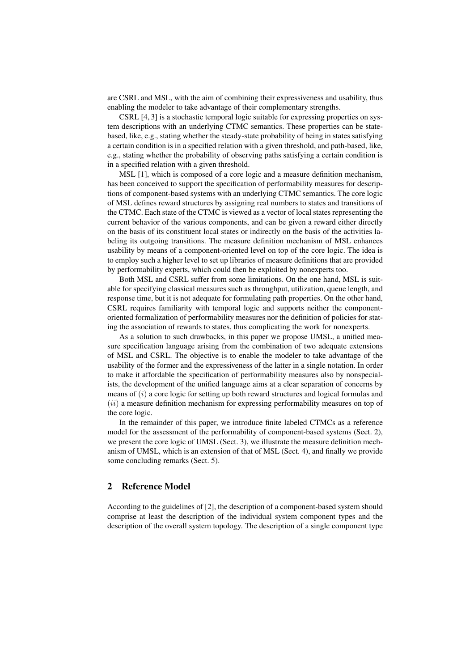are CSRL and MSL, with the aim of combining their expressiveness and usability, thus enabling the modeler to take advantage of their complementary strengths.

CSRL [4, 3] is a stochastic temporal logic suitable for expressing properties on system descriptions with an underlying CTMC semantics. These properties can be statebased, like, e.g., stating whether the steady-state probability of being in states satisfying a certain condition is in a specified relation with a given threshold, and path-based, like, e.g., stating whether the probability of observing paths satisfying a certain condition is in a specified relation with a given threshold.

MSL [1], which is composed of a core logic and a measure definition mechanism, has been conceived to support the specification of performability measures for descriptions of component-based systems with an underlying CTMC semantics. The core logic of MSL defines reward structures by assigning real numbers to states and transitions of the CTMC. Each state of the CTMC is viewed as a vector of local states representing the current behavior of the various components, and can be given a reward either directly on the basis of its constituent local states or indirectly on the basis of the activities labeling its outgoing transitions. The measure definition mechanism of MSL enhances usability by means of a component-oriented level on top of the core logic. The idea is to employ such a higher level to set up libraries of measure definitions that are provided by performability experts, which could then be exploited by nonexperts too.

Both MSL and CSRL suffer from some limitations. On the one hand, MSL is suitable for specifying classical measures such as throughput, utilization, queue length, and response time, but it is not adequate for formulating path properties. On the other hand, CSRL requires familiarity with temporal logic and supports neither the componentoriented formalization of performability measures nor the definition of policies for stating the association of rewards to states, thus complicating the work for nonexperts.

As a solution to such drawbacks, in this paper we propose UMSL, a unified measure specification language arising from the combination of two adequate extensions of MSL and CSRL. The objective is to enable the modeler to take advantage of the usability of the former and the expressiveness of the latter in a single notation. In order to make it affordable the specification of performability measures also by nonspecialists, the development of the unified language aims at a clear separation of concerns by means of  $(i)$  a core logic for setting up both reward structures and logical formulas and  $(ii)$  a measure definition mechanism for expressing performability measures on top of the core logic.

In the remainder of this paper, we introduce finite labeled CTMCs as a reference model for the assessment of the performability of component-based systems (Sect. 2), we present the core logic of UMSL (Sect. 3), we illustrate the measure definition mechanism of UMSL, which is an extension of that of MSL (Sect. 4), and finally we provide some concluding remarks (Sect. 5).

## 2 Reference Model

According to the guidelines of [2], the description of a component-based system should comprise at least the description of the individual system component types and the description of the overall system topology. The description of a single component type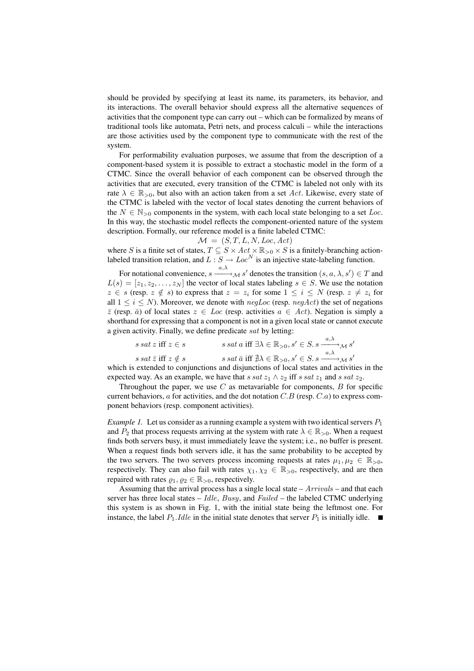should be provided by specifying at least its name, its parameters, its behavior, and its interactions. The overall behavior should express all the alternative sequences of activities that the component type can carry out – which can be formalized by means of traditional tools like automata, Petri nets, and process calculi – while the interactions are those activities used by the component type to communicate with the rest of the system.

For performability evaluation purposes, we assume that from the description of a component-based system it is possible to extract a stochastic model in the form of a CTMC. Since the overall behavior of each component can be observed through the activities that are executed, every transition of the CTMC is labeled not only with its rate  $\lambda \in \mathbb{R}_{>0}$ , but also with an action taken from a set Act. Likewise, every state of the CTMC is labeled with the vector of local states denoting the current behaviors of the  $N \in \mathbb{N}_{>0}$  components in the system, with each local state belonging to a set Loc. In this way, the stochastic model reflects the component-oriented nature of the system description. Formally, our reference model is a finite labeled CTMC:

 $\mathcal{M} = (S, T, L, N, Loc, Act)$ 

where S is a finite set of states,  $T \subseteq S \times Act \times \mathbb{R}_{>0} \times S$  is a finitely-branching actionlabeled transition relation, and  $L : S \to Loc^N$  is an injective state-labeling function.

For notational convenience,  $s \xrightarrow{a,\lambda} {}_{\mathcal{M}} s'$  denotes the transition  $(s, a, \lambda, s') \in T$  and  $L(s) = [z_1, z_2, \dots, z_N]$  the vector of local states labeling  $s \in S$ . We use the notation  $z \in s$  (resp.  $z \notin s$ ) to express that  $z = z_i$  for some  $1 \le i \le N$  (resp.  $z \ne z_i$  for all  $1 \le i \le N$ ). Moreover, we denote with  $negLoc$  (resp.  $negAct$ ) the set of negations  $\bar{z}$  (resp.  $\bar{a}$ ) of local states  $z \in Loc$  (resp. activities  $a \in Act$ ). Negation is simply a shorthand for expressing that a component is not in a given local state or cannot execute a given activity. Finally, we define predicate sat by letting:

$$
s \text{ sat } z \text{ iff } z \in s \qquad s \text{ sat } a \text{ iff } \exists \lambda \in \mathbb{R}_{>0}, s' \in S. s \xrightarrow{a, \lambda} \mathcal{M} s'
$$
  

$$
s \text{ sat } \overline{z} \text{ iff } z \notin s \qquad s \text{ sat } \overline{a} \text{ iff } \nexists \lambda \in \mathbb{R}_{>0}, s' \in S. s \xrightarrow{a, \lambda} \mathcal{M} s'
$$

which is extended to conjunctions and disjunctions of local states and activities in the expected way. As an example, we have that s sat  $z_1 \wedge z_2$  iff s sat  $z_1$  and s sat  $z_2$ .

Throughout the paper, we use  $C$  as metavariable for components,  $B$  for specific current behaviors,  $\alpha$  for activities, and the dot notation  $C.B$  (resp.  $C.\alpha$ ) to express component behaviors (resp. component activities).

*Example 1.* Let us consider as a running example a system with two identical servers  $P_1$ and  $P_2$  that process requests arriving at the system with rate  $\lambda \in \mathbb{R}_{>0}$ . When a request finds both servers busy, it must immediately leave the system; i.e., no buffer is present. When a request finds both servers idle, it has the same probability to be accepted by the two servers. The two servers process incoming requests at rates  $\mu_1, \mu_2 \in \mathbb{R}_{>0}$ , respectively. They can also fail with rates  $\chi_1, \chi_2 \in \mathbb{R}_{>0}$ , respectively, and are then repaired with rates  $\varrho_1, \varrho_2 \in \mathbb{R}_{>0}$ , respectively.

Assuming that the arrival process has a single local state –  $Arrivals$  – and that each server has three local states –  $Idle$ ,  $Busy$ , and  $Failed$  – the labeled CTMC underlying this system is as shown in Fig. 1, with the initial state being the leftmost one. For instance, the label  $P_1$ . *Idle* in the initial state denotes that server  $P_1$  is initially idle.  $\blacksquare$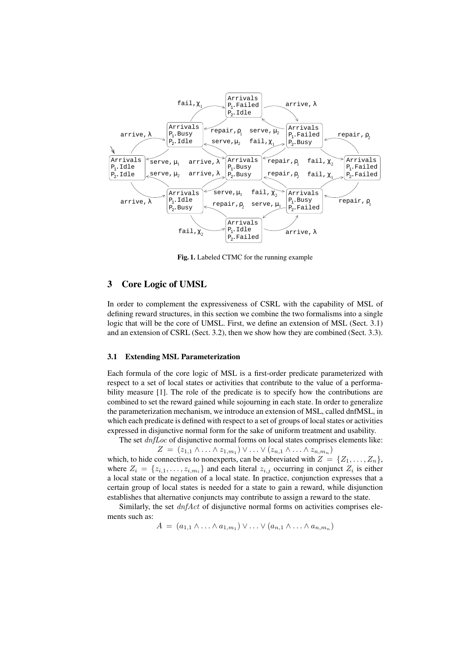

Fig. 1. Labeled CTMC for the running example

# 3 Core Logic of UMSL

In order to complement the expressiveness of CSRL with the capability of MSL of defining reward structures, in this section we combine the two formalisms into a single logic that will be the core of UMSL. First, we define an extension of MSL (Sect. 3.1) and an extension of CSRL (Sect. 3.2), then we show how they are combined (Sect. 3.3).

#### 3.1 Extending MSL Parameterization

Each formula of the core logic of MSL is a first-order predicate parameterized with respect to a set of local states or activities that contribute to the value of a performability measure [1]. The role of the predicate is to specify how the contributions are combined to set the reward gained while sojourning in each state. In order to generalize the parameterization mechanism, we introduce an extension of MSL, called dnfMSL, in which each predicate is defined with respect to a set of groups of local states or activities expressed in disjunctive normal form for the sake of uniform treatment and usability.

The set *dnfLoc* of disjunctive normal forms on local states comprises elements like:

$$
Z = (z_{1,1} \wedge \ldots \wedge z_{1,m_1}) \vee \ldots \vee (z_{n,1} \wedge \ldots \wedge z_{n,m_n})
$$

which, to hide connectives to nonexperts, can be abbreviated with  $Z = \{Z_1, \ldots, Z_n\}$ , where  $Z_i = \{z_{i,1}, \ldots, z_{i,m_i}\}\$  and each literal  $z_{i,j}$  occurring in conjunct  $Z_i$  is either a local state or the negation of a local state. In practice, conjunction expresses that a certain group of local states is needed for a state to gain a reward, while disjunction establishes that alternative conjuncts may contribute to assign a reward to the state.

Similarly, the set  $dnfAct$  of disjunctive normal forms on activities comprises elements such as:

$$
A = (a_{1,1} \wedge \ldots \wedge a_{1,m_1}) \vee \ldots \vee (a_{n,1} \wedge \ldots \wedge a_{n,m_n})
$$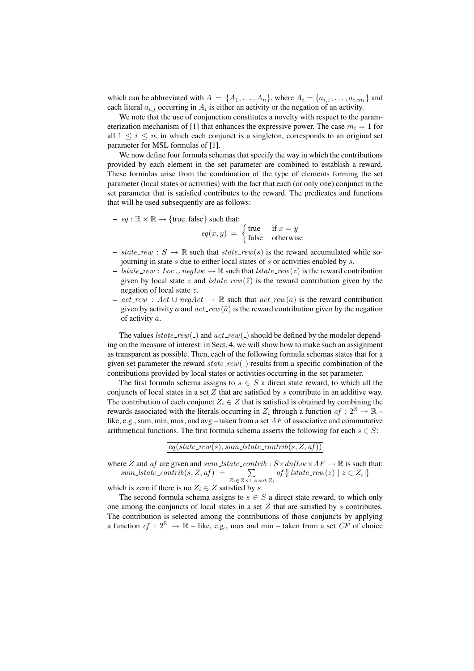which can be abbreviated with  $A = \{A_1, \ldots, A_n\}$ , where  $A_i = \{a_{i,1}, \ldots, a_{i,m_i}\}$  and each literal  $a_{i,j}$  occurring in  $A_i$  is either an activity or the negation of an activity.

We note that the use of conjunction constitutes a novelty with respect to the parameterization mechanism of [1] that enhances the expressive power. The case  $m_i = 1$  for all  $1 \leq i \leq n$ , in which each conjunct is a singleton, corresponds to an original set parameter for MSL formulas of [1].

We now define four formula schemas that specify the way in which the contributions provided by each element in the set parameter are combined to establish a reward. These formulas arise from the combination of the type of elements forming the set parameter (local states or activities) with the fact that each (or only one) conjunct in the set parameter that is satisfied contributes to the reward. The predicates and functions that will be used subsequently are as follows:

- eq : ℝ × ℝ → {true, false} such that:<br>  $eq(x, y) = \begin{cases} \text{true} & \text{if } x = y \\ \text{false} & \text{otherwise} \end{cases}$ false otherwise

- state\_rew :  $S \to \mathbb{R}$  such that state\_rew(s) is the reward accumulated while sojourning in state s due to either local states of s or activities enabled by s.
- lstate\_rew : Loc∪negLoc  $\rightarrow \mathbb{R}$  such that lstate\_rew(z) is the reward contribution given by local state z and *lstate\_rew*( $\overline{z}$ ) is the reward contribution given by the negation of local state  $\bar{z}$ .
- $act\_rew$ :  $Act$  ∪  $negAct$  → ℝ such that  $act\_rew(a)$  is the reward contribution given by activity a and  $act\_rew(\bar{a})$  is the reward contribution given by the negation of activity  $\bar{a}$ .

The values  $\textit{lstate\_rew}(\_)$  and  $\textit{act\_rew}(\_)$  should be defined by the modeler depending on the measure of interest: in Sect. 4, we will show how to make such an assignment as transparent as possible. Then, each of the following formula schemas states that for a given set parameter the reward  $state\_rew( )$  results from a specific combination of the contributions provided by local states or activities occurring in the set parameter.

The first formula schema assigns to  $s \in S$  a direct state reward, to which all the conjuncts of local states in a set  $Z$  that are satisfied by  $s$  contribute in an additive way. The contribution of each conjunct  $Z_i \in \mathbb{Z}$  that is satisfied is obtained by combining the rewards associated with the literals occurring in  $Z_i$  through a function  $af: 2^{\mathbb{R}} \to \mathbb{R}$  – like, e.g., sum, min, max, and avg – taken from a set  $AF$  of associative and commutative arithmetical functions. The first formula schema asserts the following for each  $s \in S$ :

 $eq(state\_rew(s), sum\_lstate\_contrib(s, Z, af))$ 

where Z and af are given and sum lstate contrib :  $S \times dnfLoc \times AF \rightarrow \mathbb{R}$  is such that:<br>
sum lstate contrib(s, Z, af) =  $\sum$  af {| lstate rew(z) | z  $\in Z_i$  }  $Z_i{\in}Z$  s.t. s sat  $Z_i$  $af\{\left| \text{lstate\_rew}(z) \right| z \in Z_i \}$ 

which is zero if there is no  $Z_i \in Z$  satisfied by s.

The second formula schema assigns to  $s \in S$  a direct state reward, to which only one among the conjuncts of local states in a set  $Z$  that are satisfied by  $s$  contributes. The contribution is selected among the contributions of those conjuncts by applying a function  $cf : 2^{\mathbb{R}} \to \mathbb{R}$  – like, e.g., max and min – taken from a set CF of choice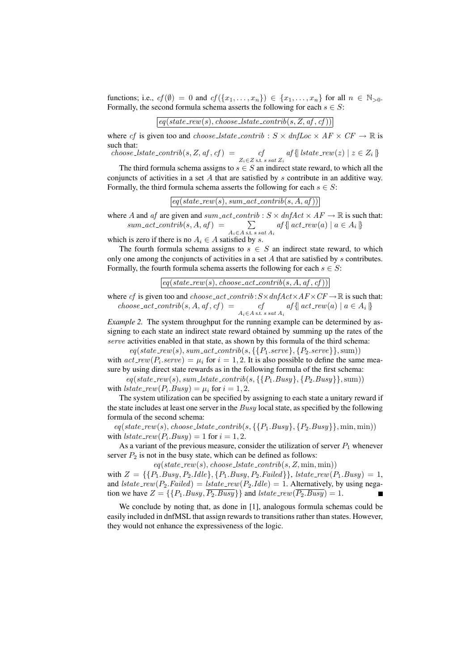functions; i.e.,  $cf(\emptyset) = 0$  and  $cf({x_1, \ldots, x_n}) \in {x_1, \ldots, x_n}$  for all  $n \in \mathbb{N}_{>0}$ . Formally, the second formula schema asserts the following for each  $s \in S$ :

$$
\boxed{eq(state\_rew(s), choose\_lstate\_contrib(s, Z, af, cf))}
$$

where cf is given too and choose lstate contrib :  $S \times \text{dnfLoc} \times AF \times CF \rightarrow \mathbb{R}$  is such that:

 $choose\_state\_contrib(s, Z, af, cf) = cf$  $\begin{aligned} cf \ z_i \in Z \text{ s.t. } s \, sat \, Z_i \end{aligned}$   $\{ \}$   $| \{ state\_rew(z) \mid z \in Z_i \}$ 

The third formula schema assigns to  $s \in S$  an indirect state reward, to which all the conjuncts of activities in a set  $A$  that are satisfied by  $s$  contribute in an additive way. Formally, the third formula schema asserts the following for each  $s \in S$ :

 $\overline{eq(state\_rew(s), sum\_act\_contrib(s, A, af))}$ 

where A and af are given and sum\_act\_contrib :  $S \times dnfAct \times AF \rightarrow \mathbb{R}$  is such that: A and af are given and sum\_act\_contri<br>sum\_act\_contrib(s, A, af) =  $\sum$  $A_i \in A$  s.t. s sat  $A_i$  $af\{ \text{ } act\_rew(a) \mid a \in A_i \}$ 

which is zero if there is no  $A_i \in A$  satisfied by s.

The fourth formula schema assigns to  $s \in S$  an indirect state reward, to which only one among the conjuncts of activities in a set  $A$  that are satisfied by  $s$  contributes. Formally, the fourth formula schema asserts the following for each  $s \in S$ :

 $\lceil eq(state\_rew(s), choose\_act\_contrib(s, A, af, cf)) \rceil$ 

where cf is given too and choose\_act\_contrib:  $S \times dnfAct \times AF \times CF \rightarrow \mathbb{R}$  is such that:  $choose\_act\_contrib(s, A, af, cf) = ct$  $\begin{aligned} cf \quad af \{ \text{act\_rew}(a) \mid a \in A_i \} \ A_i \in A \text{ s.t. } s \text{ sat } A_i \end{aligned}$ 

*Example 2.* The system throughput for the running example can be determined by assigning to each state an indirect state reward obtained by summing up the rates of the serve activities enabled in that state, as shown by this formula of the third schema:  $eq(state\_rew(s), sum\_act\_contrib(s, \{P_1.serve\}, \{P_2.serve\}\}, sum)$ 

with  $act\_rew(P_i.serve) = \mu_i$  for  $i = 1, 2$ . It is also possible to define the same measure by using direct state rewards as in the following formula of the first schema:

 $eq(state\_rew(s), sum\_lstate\_contrib(s, \{P_1.Busy\}, \{P_2.Busy\}\}, sum)$ with  $\textit{lstate\_rew}(P_i. \textit{Busy}) = \mu_i \text{ for } i = 1, 2.$ 

The system utilization can be specified by assigning to each state a unitary reward if the state includes at least one server in the  $Busy$  local state, as specified by the following formula of the second schema:

 $eq(state\_rew(s), choose\_lstate\_contrib(s, \{P_1.Busy\}, \{P_2.Busy\}\}, \min, \min))$ with  $\text{lstate\_rew}(P_i \text{.} \text{Busy}) = 1$  for  $i = 1, 2$ .

As a variant of the previous measure, consider the utilization of server  $P_1$  whenever server  $P_2$  is not in the busy state, which can be defined as follows:

 $eq(state\_rew(s), choose\_lstate\_contrib(s, Z, min, min))$ 

with  $Z = \{\{P_1.Busy, P_2. \text{Idle}\}, \{P_1.Busy, P_2. \text{Failed}\}\}, \text{lstate\_rew}(P_1.Busy) = 1,$ and  $\textit{lstate\_rew}(P_2.\textit{Failed}) = \textit{lstate\_rew}(P_2.\textit{Idle}) = 1$ . Alternatively, by using negation we have  $Z = \{ \{P_1.Busy, \overline{P_2.Busy} \} \}$  and  $lstate\_rew(\overline{P_2.Busy}) = 1$ .

We conclude by noting that, as done in [1], analogous formula schemas could be easily included in dnfMSL that assign rewards to transitions rather than states. However, they would not enhance the expressiveness of the logic.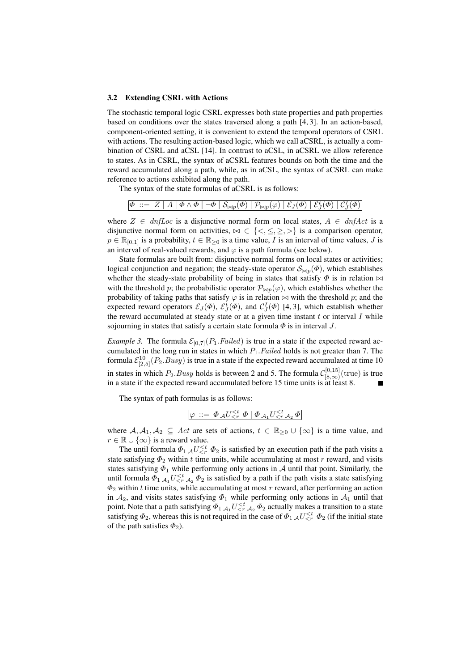#### 3.2 Extending CSRL with Actions

The stochastic temporal logic CSRL expresses both state properties and path properties based on conditions over the states traversed along a path [4, 3]. In an action-based, component-oriented setting, it is convenient to extend the temporal operators of CSRL with actions. The resulting action-based logic, which we call aCSRL, is actually a combination of CSRL and aCSL [14]. In contrast to aCSL, in aCSRL we allow reference to states. As in CSRL, the syntax of aCSRL features bounds on both the time and the reward accumulated along a path, while, as in aCSL, the syntax of aCSRL can make reference to actions exhibited along the path.

The syntax of the state formulas of aCSRL is as follows:

$$
\varPhi\ ::=\ Z\mid A\mid \varPhi\wedge \varPhi\mid\neg\varPhi\mid \mathcal{S}_{\bowtie p}(\varPhi)\mid \mathcal{P}_{\bowtie p}(\varphi)\mid \mathcal{E}_{J}(\varPhi)\mid \mathcal{E}_{J}^{t}(\varPhi)\mid \mathcal{C}_{J}^{I}(\varPhi)\mid
$$

where  $Z \in dnfLoc$  is a disjunctive normal form on local states,  $A \in dnfAct$  is a disjunctive normal form on activities,  $\bowtie \in \{<,\leq, \geq, >\}$  is a comparison operator,  $p \in \mathbb{R}_{[0,1]}$  is a probability,  $t \in \mathbb{R}_{\geq 0}$  is a time value, I is an interval of time values, J is an interval of real-valued rewards, and  $\varphi$  is a path formula (see below).

State formulas are built from: disjunctive normal forms on local states or activities; logical conjunction and negation; the steady-state operator  $\mathcal{S}_{\bowtie p}(\Phi)$ , which establishes whether the steady-state probability of being in states that satisfy  $\Phi$  is in relation  $\bowtie$ with the threshold p; the probabilistic operator  $\mathcal{P}_{\bowtie p}(\varphi)$ , which establishes whether the probability of taking paths that satisfy  $\varphi$  is in relation  $\bowtie$  with the threshold p; and the expected reward operators  $\mathcal{E}_J(\Phi)$ ,  $\mathcal{E}_J^t(\Phi)$ , and  $\mathcal{C}_J^I(\Phi)$  [4, 3], which establish whether the reward accumulated at steady state or at a given time instant  $t$  or interval  $I$  while sojourning in states that satisfy a certain state formula  $\Phi$  is in interval J.

*Example 3.* The formula  $\mathcal{E}_{[0,7]}(P_1, Failed)$  is true in a state if the expected reward accumulated in the long run in states in which  $P_1$ . Failed holds is not greater than 7. The formula  $\mathcal{E}_{[2,5]}^{10}(P_2, Busy)$  is true in a state if the expected reward accumulated at time 10 in states in which  $P_2.Busy$  holds is between 2 and 5. The formula  $\mathcal{C}_{[8,\infty)}^{[0,15]}$  $\frac{[0,15]}{[8,\infty)}$ (true) is true in a state if the expected reward accumulated before 15 time units is at least 8.  $\blacksquare$ 

The syntax of path formulas is as follows:

$$
\varphi\ ::=\ \Phi_{\mathcal{A}}U_{
$$

where  $A, A_1, A_2 \subseteq Act$  are sets of actions,  $t \in \mathbb{R}_{\geq 0} \cup \{\infty\}$  is a time value, and  $r \in \mathbb{R} \cup \{\infty\}$  is a reward value.

The until formula  $\Phi_1 A U_{\leq r}^{\leq t} \Phi_2$  is satisfied by an execution path if the path visits a state satisfying  $\Phi_2$  within t time units, while accumulating at most r reward, and visits states satisfying  $\Phi_1$  while performing only actions in A until that point. Similarly, the until formula  $\Phi_1$   $\mathcal{A}_1$   $U<\tau$   $\mathcal{A}_2$   $\Phi_2$  is satisfied by a path if the path visits a state satisfying  $\Phi_2$  within t time units, while accumulating at most r reward, after performing an action in  $A_2$ , and visits states satisfying  $\Phi_1$  while performing only actions in  $A_1$  until that point. Note that a path satisfying  $\Phi_1|_{\mathcal{A}_1} U_{\leq r}^{\leq t} |_{\mathcal{A}_2} \Phi_2$  actually makes a transition to a state satisfying  $\Phi_2$ , whereas this is not required in the case of  $\Phi_1$   $\mathcal{A}U_{\leq r}^{\leq t}$   $\Phi_2$  (if the initial state of the path satisfies  $\Phi_2$ ).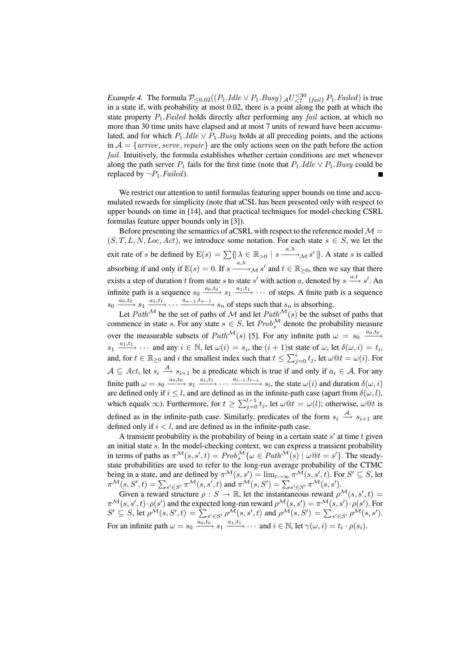*Example 4.* The formula  $P_{\leq 0.02}((P_1. \text{Idle} \vee P_1. \text{Busy}) A_{\leq 7}^{30}$   $_{\{fail\}} P_1. \text{Failed})$  is true in a state if, with probability at most 0.02, there is a point along the path at which the state property  $P_1$ . Failed holds directly after performing any fail action, at which no more than 30 time units have elapsed and at most 7 units of reward have been accumulated, and for which  $P_1$ .*Idle*  $\vee P_1$ .*Busy* holds at all preceding points, and the actions in  $A = \{arrive, serve, repair\}$  are the only actions seen on the path before the action fail. Intuitively, the formula establishes whether certain conditions are met whenever along the path server  $P_1$  fails for the first time (note that  $P_1$ .*Idle*  $\vee$   $P_1$ *.Busy* could be replaced by  $\neg P_1$ . Failed).

We restrict our attention to until formulas featuring upper bounds on time and accumulated rewards for simplicity (note that aCSL has been presented only with respect to upper bounds on time in [14], and that practical techniques for model-checking CSRL formulas feature upper bounds only in [3]).

Before presenting the semantics of aCSRL with respect to the reference model  $\mathcal{M} =$  $(S, T, L, N, Loc, Act)$ , we introduce some notation. For each state  $s \in S$ , we let the exit rate of s be defined by  $E(s) = \sum \{ \mid \lambda \in \mathbb{R}_{>0} \mid s \xrightarrow{a,\lambda} s' \}$ . A state s is called absorbing if and only if  $E(s) = 0$ . If  $s \xrightarrow{a,\lambda} M s'$  and  $t \in \mathbb{R}_{\geq 0}$ , then we say that there exists a step of duration t from state s to state s' with action a, denoted by  $s \stackrel{a,t}{\longrightarrow} s'$ . An infinite path is a sequence  $s_0 \xrightarrow{a_0,t_0} s_1 \xrightarrow{a_1,t_1} \cdots$  of steps. A finite path is a sequence  $s_0 \xrightarrow{a_0, t_0} s_1 \xrightarrow{a_1, t_1} \cdots \xrightarrow{a_{n-1}, t_{n-1}} s_n$  of steps such that  $s_n$  is absorbing.

Let Path<sup>M</sup> be the set of paths of M and let  $Path^{\mathcal{M}}(s)$  be the subset of paths that commence in state s. For any state  $s \in S$ , let  $Prob<sub>s</sub><sup>M</sup>$  denote the probability measure over the measurable subsets of  $Path^{\mathcal{M}}(s)$  [5]. For any infinite path  $\omega = s_0 \xrightarrow{a_0, t_0}$  $s_1 \xrightarrow{a_1, t_1} \cdots$  and any  $i \in \mathbb{N}$ , let  $\omega(i) = s_i$ , the  $(i + 1)$ st state of  $\omega$ , let  $\delta(\omega, i) = t_i$ , and, for  $t \in \mathbb{R}_{\geq 0}$  and i the smallest index such that  $t \leq \sum_{j=0}^{i} t_j$ , let  $\omega \mathbb{Q} t = \omega(i)$ . For  $A \subseteq Act$ , let  $s_i \stackrel{A}{\longrightarrow} s_{i+1}$  be a predicate which is true if and only if  $a_i \in A$ . For any finite path  $\omega = s_0 \xrightarrow{a_0, t_0} s_1 \xrightarrow{a_1, t_1} \cdots \xrightarrow{a_{l-1}, t_{l-1}} s_l$ , the state  $\omega(i)$  and duration  $\delta(\omega, i)$ are defined only if  $i \leq l$ , and are defined as in the infinite-path case (apart from  $\delta(\omega, l)$ , which equals  $\infty$ ). Furthermore, for  $t \ge \sum_{j=0}^{l-1} t_j$ , let  $\omega \mathfrak{D}t = \omega(l)$ ; otherwise,  $\omega \mathfrak{D}t$  is defined as in the infinite-path case. Similarly, predicates of the form  $s_i \stackrel{A}{\longrightarrow} s_{i+1}$  are defined only if  $i < l$ , and are defined as in the infinite-path case.

A transient probability is the probability of being in a certain state  $s'$  at time t given an initial state s. In the model-checking context, we can express a transient probability in terms of paths as  $\pi^{\mathcal{M}}(s, s', t) = Prob_s^{\mathcal{M}}\{\omega \in Path^{\mathcal{M}}(\hat{s}) \mid \omega \mathbb{Q}t = s'\}.$  The steadystate probabilities are used to refer to the long-run average probability of the CTMC being in a state, and are defined by  $\pi^{\mathcal{M}}(s, s') = \lim_{t \to \infty} \pi^{\mathcal{M}}(s, s', t)$ . For  $S' \subseteq S$ , let being in a state, and are defined by  $\pi^{\bullet\bullet}(s,s') = \min_{t\to\infty} \pi^{\bullet\bullet}(s,s',t)$ . For  $\pi^{\mathcal{M}}(s,S',t) = \sum_{s'\in S'} \pi^{\mathcal{M}}(s,s',t)$  and  $\pi^{\mathcal{M}}(s,S') = \sum_{s'\in S'} \pi^{\mathcal{M}}(s,s')$ .

Given a reward structure  $\rho : S \to \mathbb{R}$ , let the instantaneous reward  $\rho^{\mathcal{M}}(s, s', t) =$  $\pi^{\mathcal{M}}(s, s', t) \cdot \rho(s')$  and the expected long-run reward  $\rho^{\mathcal{M}}(s, s') = \pi^{\mathcal{M}}(s, s') \cdot \rho(s')$ . For  $S' \subseteq S$ , let  $\rho^{\mathcal{M}}(s, S', t) = \sum_{s' \in S'} \rho^{\mathcal{M}}(s, s', t)$  and  $\rho^{\mathcal{M}}(s, S') = \sum_{s' \in S'} \rho^{\mathcal{M}}(s, s', t)$ For an infinite path  $\omega = s_0 \xrightarrow{a_0, t_0} s_1 \xrightarrow{a_1, t_1} \cdots$  and  $i \in \mathbb{N}$ , let  $\gamma(\omega, i) = t_i \cdot \rho(s_i)$ .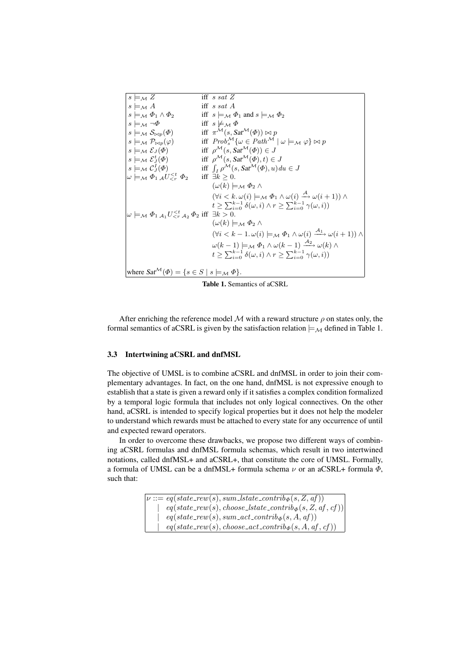| $s \models_{\mathcal{M}} Z$                                                                      | iff s sat $Z$                                                                                                                               |  |  |
|--------------------------------------------------------------------------------------------------|---------------------------------------------------------------------------------------------------------------------------------------------|--|--|
| $s \models_{\mathcal{M}} A$                                                                      | iff $s$ sat A                                                                                                                               |  |  |
| $s \models_{\mathcal{M}} \Phi_1 \wedge \Phi_2$                                                   | iff $s \models_M \Phi_1$ and $s \models_M \Phi_2$                                                                                           |  |  |
| $s \models_{\mathcal{M}} \neg \Phi$                                                              | iff $s \not\models_M \Phi$                                                                                                                  |  |  |
| $s \models_{\mathcal{M}} \mathcal{S}_{\bowtie p}(\varPhi)$                                       | iff $\pi^{\mathcal{M}}(s, \mathcal{S}at^{\mathcal{M}}(\Phi)) \bowtie p$                                                                     |  |  |
| $s \models_{\mathcal{M}} \mathcal{P}_{\bowtie p}(\varphi)$                                       | iff $Prob_s^{\mathcal{M}} \{ \omega \in Path^{\mathcal{M}} \mid \omega \models_{\mathcal{M}} \varphi \} \bowtie p$                          |  |  |
| $s \models_{\mathcal{M}} \mathcal{E}_J(\Phi)$                                                    | iff $\rho^{\mathcal{M}}(s, \mathcal{S}at^{\mathcal{M}}(\Phi)) \in J$                                                                        |  |  |
| $s \models_{\mathcal{M}} \mathcal{E}_J^t(\Phi)$                                                  | iff $\rho^{\mathcal{M}}(s, \mathcal{S}at^{\mathcal{M}}(\Phi), t) \in J$                                                                     |  |  |
| $s \models_{\mathcal{M}} \mathcal{C}_J^I(\varPhi)$                                               | iff $\int_I \rho^{\mathcal{M}}(s, \mathcal{S}at^{\mathcal{M}}(\Phi), u) du \in J$                                                           |  |  |
| $\omega \models_{\mathcal{M}} \Phi_1 \mathcal{A} U_{\leq r}^{\leq t} \Phi_2$                     | iff $\exists k \geq 0$ .                                                                                                                    |  |  |
|                                                                                                  | $(\omega(k) \models_{\mathcal{M}} \Phi_2 \wedge$                                                                                            |  |  |
|                                                                                                  | $(\forall i < k. \ \omega(i) \models_M \Phi_1 \land \omega(i) \stackrel{A}{\longrightarrow} \omega(i+1)) \land$                             |  |  |
|                                                                                                  | $t \geq \sum_{i=0}^{k-1} \delta(\omega, i) \wedge r \geq \sum_{i=0}^{k-1} \gamma(\omega, i)$                                                |  |  |
| $\omega \models_{\mathcal{M}} \Phi_{1,A_1} U_{\leq r,A_2}^{\leq t} \Phi_2$ iff $\exists k > 0$ . |                                                                                                                                             |  |  |
|                                                                                                  | $(\omega(k) \models_{\mathcal{M}} \Phi_2 \wedge$                                                                                            |  |  |
|                                                                                                  | $(\forall i < k - 1. \omega(i) \models_{\mathcal{M}} \Phi_1 \wedge \omega(i) \stackrel{\mathcal{A}_1}{\longrightarrow} \omega(i+1)) \wedge$ |  |  |
|                                                                                                  |                                                                                                                                             |  |  |
|                                                                                                  | $\omega(k-1) \models_{\mathcal{M}} \Phi_1 \wedge \omega(k-1) \xrightarrow{\mathcal{A}_2} \omega(k) \wedge$                                  |  |  |
|                                                                                                  | $t \geq \sum_{i=0}^{k-1} \delta(\omega, i) \wedge r \geq \sum_{i=0}^{k-1} \gamma(\omega, i)$                                                |  |  |
|                                                                                                  |                                                                                                                                             |  |  |
| where $Sat^{\mathcal{M}}(\Phi) = \{s \in S \mid s \models_{\mathcal{M}} \Phi\}.$                 |                                                                                                                                             |  |  |

Table 1. Semantics of aCSRL

After enriching the reference model  $M$  with a reward structure  $\rho$  on states only, the formal semantics of aCSRL is given by the satisfaction relation  $\models_M$  defined in Table 1.

#### 3.3 Intertwining aCSRL and dnfMSL

The objective of UMSL is to combine aCSRL and dnfMSL in order to join their complementary advantages. In fact, on the one hand, dnfMSL is not expressive enough to establish that a state is given a reward only if it satisfies a complex condition formalized by a temporal logic formula that includes not only logical connectives. On the other hand, aCSRL is intended to specify logical properties but it does not help the modeler to understand which rewards must be attached to every state for any occurrence of until and expected reward operators.

In order to overcome these drawbacks, we propose two different ways of combining aCSRL formulas and dnfMSL formula schemas, which result in two intertwined notations, called dnfMSL+ and aCSRL+, that constitute the core of UMSL. Formally, a formula of UMSL can be a dnfMSL+ formula schema  $\nu$  or an aCSRL+ formula  $\Phi$ , such that:

> $\nu ::= eq(state\_rew(s), sum\_lstate\_contrib_{\Phi}(s, Z, af))$  $eq(state\_rew(s), choose\_lstate\_contrib_{\Phi}(s, Z, af, cf))$  $eq(state\_rew(s), sum\_act\_contrib_{\Phi}(s, A, af))$  $eq(state\_rew(s), choose\_act\_contrib_{\Phi}(s, A, af, cf))$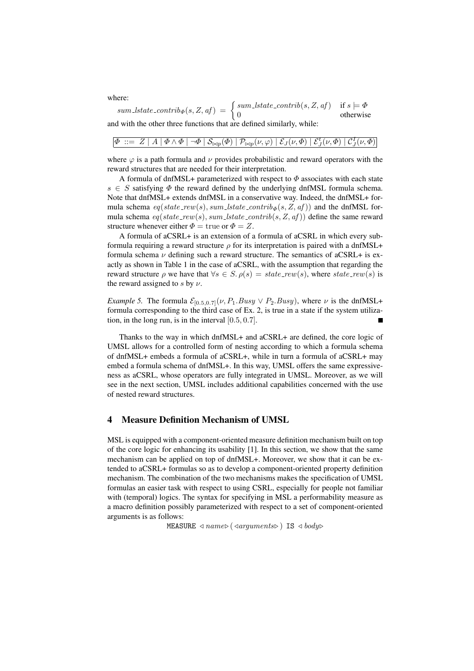where:  
\n
$$
sum\_lstate\_contrib_{\Phi}(s, Z, af) = \begin{cases} sum\_lstate\_contrib(s, Z, af) & \text{if } s \models \Phi \\ 0 & \text{otherwise} \end{cases}
$$

and with the other three functions that are defined similarly, while:

| $\boxed{\varPhi\ ::=\ Z\mid A\mid \varPhi\wedge \varPhi\mid \neg\varPhi\mid\mathcal{S}_{\bowtie p}(\varPhi)\mid \mathcal{P}_{\bowtie p}(\nu,\varphi)\mid \mathcal{E}_{J}(\nu,\varPhi)\mid \mathcal{E}_{J}^{t}(\nu,\varPhi)\mid \mathcal{C}_{J}^{I}(\nu,\varPhi)}$ |  |
|-------------------------------------------------------------------------------------------------------------------------------------------------------------------------------------------------------------------------------------------------------------------|--|
|-------------------------------------------------------------------------------------------------------------------------------------------------------------------------------------------------------------------------------------------------------------------|--|

where  $\varphi$  is a path formula and  $\nu$  provides probabilistic and reward operators with the reward structures that are needed for their interpretation.

A formula of dnfMSL+ parameterized with respect to  $\Phi$  associates with each state  $s \in S$  satisfying  $\Phi$  the reward defined by the underlying dnfMSL formula schema. Note that dnfMSL+ extends dnfMSL in a conservative way. Indeed, the dnfMSL+ formula schema  $eq(state\_rew(s), sum\_lstate\_contrib_{\Phi}(s, Z, af))$  and the dnfMSL formula schema  $eq(state\_rew(s), sum\_lstate\_contrib(s, Z, af))$  define the same reward structure whenever either  $\Phi = \text{true}$  or  $\Phi = Z$ .

A formula of aCSRL+ is an extension of a formula of aCSRL in which every subformula requiring a reward structure  $\rho$  for its interpretation is paired with a dnfMSL+ formula schema  $\nu$  defining such a reward structure. The semantics of aCSRL+ is exactly as shown in Table 1 in the case of aCSRL, with the assumption that regarding the reward structure  $\rho$  we have that  $\forall s \in S$ .  $\rho(s) = state\_rew(s)$ , where state\_rew(s) is the reward assigned to s by  $\nu$ .

*Example 5.* The formula  $\mathcal{E}_{[0.5,0.7]}(\nu, P_1.Busy \vee P_2.Busy)$ , where  $\nu$  is the dnfMSL+ formula corresponding to the third case of Ex. 2, is true in a state if the system utilization, in the long run, is in the interval [0.5, 0.7].  $\blacksquare$ 

Thanks to the way in which dnfMSL+ and aCSRL+ are defined, the core logic of UMSL allows for a controlled form of nesting according to which a formula schema of dnfMSL+ embeds a formula of aCSRL+, while in turn a formula of aCSRL+ may embed a formula schema of dnfMSL+. In this way, UMSL offers the same expressiveness as aCSRL, whose operators are fully integrated in UMSL. Moreover, as we will see in the next section, UMSL includes additional capabilities concerned with the use of nested reward structures.

#### 4 Measure Definition Mechanism of UMSL

MSL is equipped with a component-oriented measure definition mechanism built on top of the core logic for enhancing its usability [1]. In this section, we show that the same mechanism can be applied on top of dnfMSL+. Moreover, we show that it can be extended to aCSRL+ formulas so as to develop a component-oriented property definition mechanism. The combination of the two mechanisms makes the specification of UMSL formulas an easier task with respect to using CSRL, especially for people not familiar with (temporal) logics. The syntax for specifying in MSL a performability measure as a macro definition possibly parameterized with respect to a set of component-oriented arguments is as follows:

MEASURE  $\triangleleft name\triangleright (\triangleleft arguments\triangleright)$  IS  $\triangleleft body\triangleright$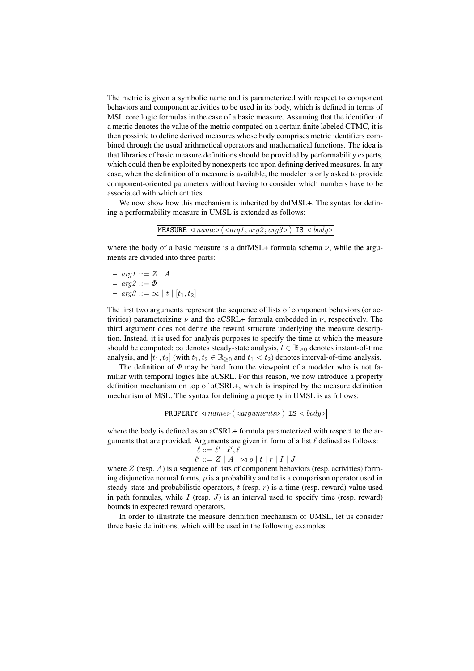The metric is given a symbolic name and is parameterized with respect to component behaviors and component activities to be used in its body, which is defined in terms of MSL core logic formulas in the case of a basic measure. Assuming that the identifier of a metric denotes the value of the metric computed on a certain finite labeled CTMC, it is then possible to define derived measures whose body comprises metric identifiers combined through the usual arithmetical operators and mathematical functions. The idea is that libraries of basic measure definitions should be provided by performability experts, which could then be exploited by nonexperts too upon defining derived measures. In any case, when the definition of a measure is available, the modeler is only asked to provide component-oriented parameters without having to consider which numbers have to be associated with which entities.

We now show how this mechanism is inherited by dnfMSL+. The syntax for defining a performability measure in UMSL is extended as follows:

|  | MEASURE $\triangleleft name \triangleright (\triangleleft arg1; arg2; arg3 \triangleright)$ IS $\triangleleft body \triangleright$ |  |
|--|------------------------------------------------------------------------------------------------------------------------------------|--|
|--|------------------------------------------------------------------------------------------------------------------------------------|--|

where the body of a basic measure is a dnfMSL+ formula schema  $\nu$ , while the arguments are divided into three parts:

–  $arg1 ::= Z | A$  $-arg2 ::= \Phi$  $-$  arg3 ::=  $\infty$  | t | [t<sub>1</sub>, t<sub>2</sub>]

The first two arguments represent the sequence of lists of component behaviors (or activities) parameterizing  $\nu$  and the aCSRL+ formula embedded in  $\nu$ , respectively. The third argument does not define the reward structure underlying the measure description. Instead, it is used for analysis purposes to specify the time at which the measure should be computed:  $\infty$  denotes steady-state analysis,  $t \in \mathbb{R}_{\geq 0}$  denotes instant-of-time analysis, and  $[t_1, t_2]$  (with  $t_1, t_2 \in \mathbb{R}_{\geq 0}$  and  $t_1 < t_2$ ) denotes interval-of-time analysis.

The definition of  $\Phi$  may be hard from the viewpoint of a modeler who is not familiar with temporal logics like aCSRL. For this reason, we now introduce a property definition mechanism on top of aCSRL+, which is inspired by the measure definition mechanism of MSL. The syntax for defining a property in UMSL is as follows:

```
PROPERTY \triangleleft</math> name<math>\triangleright</math> (4 arguments<math>\triangleright</math>) IS <math>\triangleleft</math> body<math>\triangleright</math>
```
where the body is defined as an aCSRL+ formula parameterized with respect to the arguments that are provided. Arguments are given in form of a list  $\ell$  defined as follows:

$$
\ell ::= \ell' | \ell', \ell
$$
  

$$
\ell' ::= Z | A | \infty p | t | r | I | J
$$

where  $Z$  (resp.  $A$ ) is a sequence of lists of component behaviors (resp. activities) forming disjunctive normal forms,  $p$  is a probability and  $\bowtie$  is a comparison operator used in steady-state and probabilistic operators,  $t$  (resp.  $r$ ) is a time (resp. reward) value used in path formulas, while  $I$  (resp.  $J$ ) is an interval used to specify time (resp. reward) bounds in expected reward operators.

In order to illustrate the measure definition mechanism of UMSL, let us consider three basic definitions, which will be used in the following examples.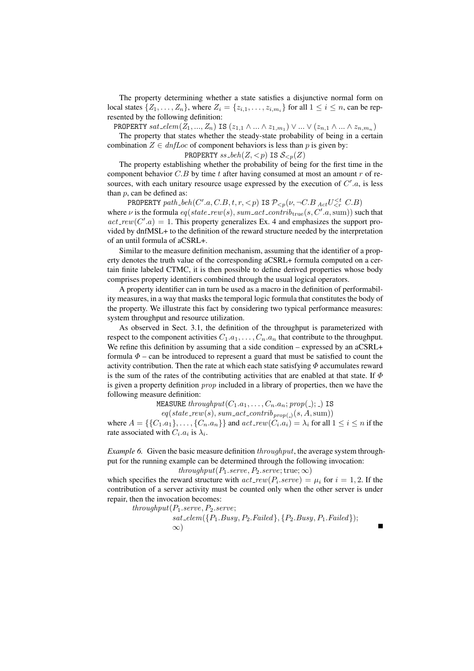The property determining whether a state satisfies a disjunctive normal form on local states  $\{Z_1, \ldots, Z_n\}$ , where  $Z_i = \{z_{i,1}, \ldots, z_{i,m_i}\}$  for all  $1 \leq i \leq n$ , can be represented by the following definition:

PROPERTY  $sat\_elem(Z_1, ..., Z_n)$  IS  $(z_{1,1} \wedge ... \wedge z_{1,m_1}) \vee ... \vee (z_{n,1} \wedge ... \wedge z_{n,m_n})$ The property that states whether the steady-state probability of being in a certain combination  $Z \in \text{dnfLoc}$  of component behaviors is less than p is given by:

**PROPERTIES** 
$$
ss\_\text{beh}(Z, < p)
$$
 **IS**  $\mathcal{S}_{< p}(Z)$ 

The property establishing whether the probability of being for the first time in the component behavior  $C.B$  by time t after having consumed at most an amount r of resources, with each unitary resource usage expressed by the execution of  $C'$ .a, is less than  $p$ , can be defined as:

PROPERTY path\_beh(C'.a, C.B, t, r, < p) IS  $\mathcal{P}_{\leq p}(\nu, \neg C.B \_{Act} U_{\leq r}^{\leq t} C.B)$ where  $\nu$  is the formula  $eq(state\_rew(s), sum\_act\_contrib_{true}(s, C'.a, sum))$  such that  $act\_rew(C'.a) = 1$ . This property generalizes Ex. 4 and emphasizes the support provided by dnfMSL+ to the definition of the reward structure needed by the interpretation of an until formula of aCSRL+.

Similar to the measure definition mechanism, assuming that the identifier of a property denotes the truth value of the corresponding aCSRL+ formula computed on a certain finite labeled CTMC, it is then possible to define derived properties whose body comprises property identifiers combined through the usual logical operators.

A property identifier can in turn be used as a macro in the definition of performability measures, in a way that masks the temporal logic formula that constitutes the body of the property. We illustrate this fact by considering two typical performance measures: system throughput and resource utilization.

As observed in Sect. 3.1, the definition of the throughput is parameterized with respect to the component activities  $C_1.a_1, \ldots, C_n.a_n$  that contribute to the throughput. We refine this definition by assuming that a side condition – expressed by an aCSRL+ formula  $\Phi$  – can be introduced to represent a guard that must be satisfied to count the activity contribution. Then the rate at which each state satisfying  $\Phi$  accumulates reward is the sum of the rates of the contributing activities that are enabled at that state. If  $\Phi$ is given a property definition prop included in a library of properties, then we have the following measure definition:

MEASURE throughput( $C_1.a_1, \ldots, C_n.a_n$ ; prop(\_); \_) IS

 $eq(state\_rew(s), sum\_act\_contrib_{prop(\_)}(s, A, sum))$ where  $A = \{\{C_1, a_1\}, \ldots, \{C_n, a_n\}\}\$  and  $act\_rew(C_i.a_i) = \lambda_i$  for all  $1 \le i \le n$  if the rate associated with  $C_i.a_i$  is  $\lambda_i$ .

*Example 6.* Given the basic measure definition  $throughput$ , the average system throughput for the running example can be determined through the following invocation:

 $throughput(P_1.serve, P_2.serve; true; \infty)$ 

which specifies the reward structure with  $act\_rew(P_i.serve) = \mu_i$  for  $i = 1, 2$ . If the contribution of a server activity must be counted only when the other server is under repair, then the invocation becomes:

 $throughput(P_1.serve, P_2.serve;$ 

$$
sat\_elem({P_1.Busy, P_2.Failed}, {P_2.Busy, P_1.Failed});\infty)
$$

 $\blacksquare$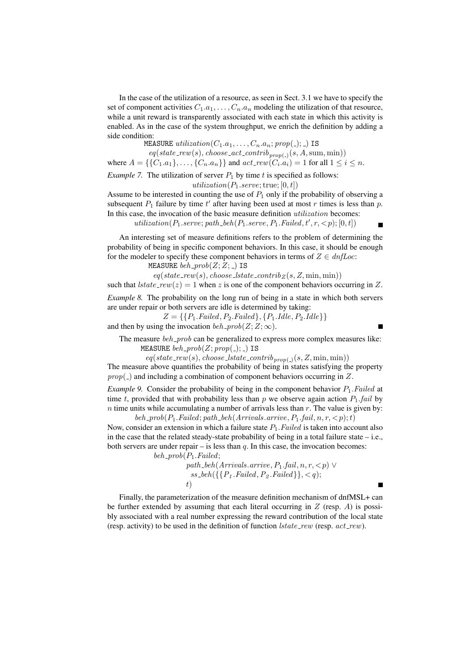In the case of the utilization of a resource, as seen in Sect. 3.1 we have to specify the set of component activities  $C_1.a_1, \ldots, C_n.a_n$  modeling the utilization of that resource, while a unit reward is transparently associated with each state in which this activity is enabled. As in the case of the system throughput, we enrich the definition by adding a side condition:

MEASURE utilization $(C_1.a_1, \ldots, C_n.a_n; prop(.); )$  IS

 $eq(state\_rew(s), choose\_act\_contrib_{prop(.)}(s, A, sum, min))$ where  $A = \{\{C_1, a_1\}, \dots, \{C_n, a_n\}\}\$  and  $act\_rew(C_i.a_i) = 1$  for all  $1 \le i \le n$ .

*Example 7.* The utilization of server  $P_1$  by time t is specified as follows:

utilization( $P_1.\text{serve};$ true; [0, t])

Assume to be interested in counting the use of  $P_1$  only if the probability of observing a subsequent  $P_1$  failure by time  $t'$  after having been used at most r times is less than p. In this case, the invocation of the basic measure definition utilization becomes:

 $utilization(P_1.serve; path\_beh(P_1.serve, P_1.Failed, t', r, < p); [0, t])$ 

An interesting set of measure definitions refers to the problem of determining the probability of being in specific component behaviors. In this case, it should be enough for the modeler to specify these component behaviors in terms of  $Z \in \text{dnfLoc:}$ 

MEASURE  $beh\_prob(Z; Z; _-)$  IS

 $eq(state\_rew(s), choose\_lstate\_contrib_z(s, Z, min, min))$ 

such that  $\text{lstate\_rew}(z) = 1$  when z is one of the component behaviors occurring in Z.

*Example 8.* The probability on the long run of being in a state in which both servers are under repair or both servers are idle is determined by taking:

 $Z = \{ \{P_1.Failed, P_2.Failed\}, \{P_1.Idle, P_2.Idle\} \}$ 

and then by using the invocation  $beh\_prob(Z;Z;\infty)$ .

The measure beh prob can be generalized to express more complex measures like: MEASURE  $beh\_prob(Z; prop(.); )$  IS

 $eq(state\_rew(s), choose\_lstate\_contrib_{prop(\_)}(s, Z, \min, \min))$ 

The measure above quantifies the probability of being in states satisfying the property  $prop($ ) and including a combination of component behaviors occurring in Z.

*Example 9.* Consider the probability of being in the component behavior  $P_1$ . Failed at time t, provided that with probability less than p we observe again action  $P_1$  fail by  $n$  time units while accumulating a number of arrivals less than  $r$ . The value is given by: beh prob $(P_1.Failed; path_beh(Arrivals, arrive, P_1.fail, n, r, < p);t)$ 

Now, consider an extension in which a failure state  $P_1$ . Failed is taken into account also in the case that the related steady-state probability of being in a total failure state – i.e., both servers are under repair – is less than  $q$ . In this case, the invocation becomes:

 $beh\_prob(P_1.Failed;$ 

path\_beh(Arrivals.arrive,  $P_1$ .fail,  $n, r, < p$ ) ∨  $ss\text{-}beh(\lbrace \lbrace P_1 \text{. Failed}, P_2 \text{. Failed} \rbrace \rbrace, \leq q);$  $t)$ 

Finally, the parameterization of the measure definition mechanism of dnfMSL+ can be further extended by assuming that each literal occurring in  $Z$  (resp.  $A$ ) is possibly associated with a real number expressing the reward contribution of the local state (resp. activity) to be used in the definition of function  $\textit{lstate\_rew}$  (resp.  $\textit{act\_rew}$ ).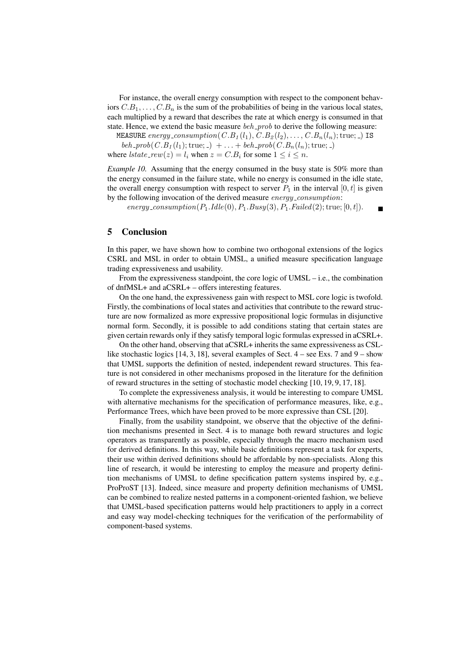For instance, the overall energy consumption with respect to the component behaviors  $C.B_1, \ldots, C.B_n$  is the sum of the probabilities of being in the various local states, each multiplied by a reward that describes the rate at which energy is consumed in that state. Hence, we extend the basic measure  $beh_{p}rob$  to derive the following measure:

MEASURE energy\_consumption( $C.B_1(l_1), C.B_2(l_2), \ldots, C.B_n(l_n);$ true; ) IS

beh \_prob( $C.B_1(l_1);$ true; \_) + ... + beh \_prob( $C.B_n(l_n);$ true; \_) where  $\text{lstate\_rew}(z) = l_i$  when  $z = C.B_i$  for some  $1 \leq i \leq n$ .

*Example 10.* Assuming that the energy consumed in the busy state is 50% more than the energy consumed in the failure state, while no energy is consumed in the idle state, the overall energy consumption with respect to server  $P_1$  in the interval  $[0, t]$  is given by the following invocation of the derived measure energy\_consumption:

energy\_consumption( $P_1$ .Idle(0),  $P_1$ .Busy(3),  $P_1$ .Failed(2); true; [0, t]).

 $\blacksquare$ 

## 5 Conclusion

In this paper, we have shown how to combine two orthogonal extensions of the logics CSRL and MSL in order to obtain UMSL, a unified measure specification language trading expressiveness and usability.

From the expressiveness standpoint, the core logic of UMSL – i.e., the combination of dnfMSL+ and aCSRL+ – offers interesting features.

On the one hand, the expressiveness gain with respect to MSL core logic is twofold. Firstly, the combinations of local states and activities that contribute to the reward structure are now formalized as more expressive propositional logic formulas in disjunctive normal form. Secondly, it is possible to add conditions stating that certain states are given certain rewards only if they satisfy temporal logic formulas expressed in aCSRL+.

On the other hand, observing that aCSRL+ inherits the same expressiveness as CSLlike stochastic logics [14, 3, 18], several examples of Sect.  $4$  – see Exs. 7 and  $9$  – show that UMSL supports the definition of nested, independent reward structures. This feature is not considered in other mechanisms proposed in the literature for the definition of reward structures in the setting of stochastic model checking [10, 19, 9, 17, 18].

To complete the expressiveness analysis, it would be interesting to compare UMSL with alternative mechanisms for the specification of performance measures, like, e.g., Performance Trees, which have been proved to be more expressive than CSL [20].

Finally, from the usability standpoint, we observe that the objective of the definition mechanisms presented in Sect. 4 is to manage both reward structures and logic operators as transparently as possible, especially through the macro mechanism used for derived definitions. In this way, while basic definitions represent a task for experts, their use within derived definitions should be affordable by non-specialists. Along this line of research, it would be interesting to employ the measure and property definition mechanisms of UMSL to define specification pattern systems inspired by, e.g., ProProST [13]. Indeed, since measure and property definition mechanisms of UMSL can be combined to realize nested patterns in a component-oriented fashion, we believe that UMSL-based specification patterns would help practitioners to apply in a correct and easy way model-checking techniques for the verification of the performability of component-based systems.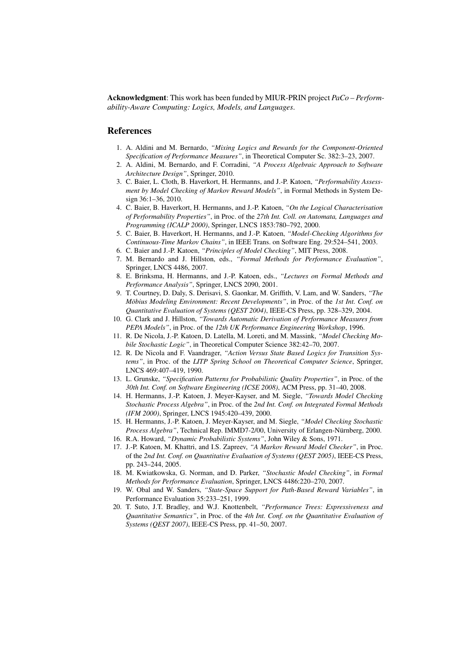Acknowledgment: This work has been funded by MIUR-PRIN project *PaCo – Performability-Aware Computing: Logics, Models, and Languages*.

#### References

- 1. A. Aldini and M. Bernardo, *"Mixing Logics and Rewards for the Component-Oriented Specification of Performance Measures"*, in Theoretical Computer Sc. 382:3–23, 2007.
- 2. A. Aldini, M. Bernardo, and F. Corradini, *"A Process Algebraic Approach to Software Architecture Design"*, Springer, 2010.
- 3. C. Baier, L. Cloth, B. Haverkort, H. Hermanns, and J.-P. Katoen, *"Performability Assessment by Model Checking of Markov Reward Models"*, in Formal Methods in System Design 36:1–36, 2010.
- 4. C. Baier, B. Haverkort, H. Hermanns, and J.-P. Katoen, *"On the Logical Characterisation of Performability Properties"*, in Proc. of the *27th Int. Coll. on Automata, Languages and Programming (ICALP 2000)*, Springer, LNCS 1853:780–792, 2000.
- 5. C. Baier, B. Haverkort, H. Hermanns, and J.-P. Katoen, *"Model-Checking Algorithms for Continuous-Time Markov Chains"*, in IEEE Trans. on Software Eng. 29:524–541, 2003.
- 6. C. Baier and J.-P. Katoen, *"Principles of Model Checking"*, MIT Press, 2008.
- 7. M. Bernardo and J. Hillston, eds., *"Formal Methods for Performance Evaluation"*, Springer, LNCS 4486, 2007.
- 8. E. Brinksma, H. Hermanns, and J.-P. Katoen, eds., *"Lectures on Formal Methods and Performance Analysis"*, Springer, LNCS 2090, 2001.
- 9. T. Courtney, D. Daly, S. Derisavi, S. Gaonkar, M. Griffith, V. Lam, and W. Sanders, *"The Mobius Modeling Environment: Recent Developments" ¨* , in Proc. of the *1st Int. Conf. on Quantitative Evaluation of Systems (QEST 2004)*, IEEE-CS Press, pp. 328–329, 2004.
- 10. G. Clark and J. Hillston, *"Towards Automatic Derivation of Performance Measures from PEPA Models"*, in Proc. of the *12th UK Performance Engineering Workshop*, 1996.
- 11. R. De Nicola, J.-P. Katoen, D. Latella, M. Loreti, and M. Massink, *"Model Checking Mobile Stochastic Logic"*, in Theoretical Computer Science 382:42–70, 2007.
- 12. R. De Nicola and F. Vaandrager, *"Action Versus State Based Logics for Transition Systems"*, in Proc. of the *LITP Spring School on Theoretical Computer Science*, Springer, LNCS 469:407–419, 1990.
- 13. L. Grunske, *"Specification Patterns for Probabilistic Quality Properties"*, in Proc. of the *30th Int. Conf. on Software Engineering (ICSE 2008)*, ACM Press, pp. 31–40, 2008.
- 14. H. Hermanns, J.-P. Katoen, J. Meyer-Kayser, and M. Siegle, *"Towards Model Checking Stochastic Process Algebra"*, in Proc. of the *2nd Int. Conf. on Integrated Formal Methods (IFM 2000)*, Springer, LNCS 1945:420–439, 2000.
- 15. H. Hermanns, J.-P. Katoen, J. Meyer-Kayser, and M. Siegle, *"Model Checking Stochastic Process Algebra"*, Technical Rep. IMMD7-2/00, University of Erlangen-Nürnberg, 2000.
- 16. R.A. Howard, *"Dynamic Probabilistic Systems"*, John Wiley & Sons, 1971.
- 17. J.-P. Katoen, M. Khattri, and I.S. Zapreev, *"A Markov Reward Model Checker"*, in Proc. of the *2nd Int. Conf. on Quantitative Evaluation of Systems (QEST 2005)*, IEEE-CS Press, pp. 243–244, 2005.
- 18. M. Kwiatkowska, G. Norman, and D. Parker, *"Stochastic Model Checking"*, in *Formal Methods for Performance Evaluation*, Springer, LNCS 4486:220–270, 2007.
- 19. W. Obal and W. Sanders, *"State-Space Support for Path-Based Reward Variables"*, in Performance Evaluation 35:233–251, 1999.
- 20. T. Suto, J.T. Bradley, and W.J. Knottenbelt, *"Performance Trees: Expressiveness and Quantitative Semantics"*, in Proc. of the *4th Int. Conf. on the Quantitative Evaluation of Systems (QEST 2007)*, IEEE-CS Press, pp. 41–50, 2007.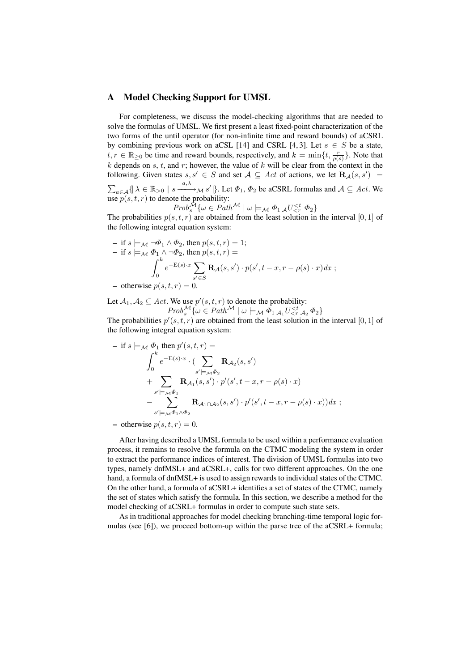#### A Model Checking Support for UMSL

For completeness, we discuss the model-checking algorithms that are needed to solve the formulas of UMSL. We first present a least fixed-point characterization of the two forms of the until operator (for non-infinite time and reward bounds) of aCSRL by combining previous work on aCSL [14] and CSRL [4, 3]. Let  $s \in S$  be a state,  $t, r \in \mathbb{R}_{\geq 0}$  be time and reward bounds, respectively, and  $k = \min\{t, \frac{r}{\rho(s)}\}$ . Note that  $k$  depends on  $s$ ,  $t$ , and  $r$ ; however, the value of  $k$  will be clear from the context in the following. Given states  $s, s' \in S$  and set  $A \subseteq Act$  of actions, we let  $\mathbf{R}_{\mathcal{A}}(s, s') =$  $\sum_{a \in A} \{ |\lambda \in \mathbb{R}_{>0} \mid s \xrightarrow{a,\lambda} \mathcal{M} s' | \}$ . Let  $\Phi_1$ ,  $\Phi_2$  be aCSRL formulas and  $\mathcal{A} \subseteq Act$ . We

use 
$$
p(s, t, r)
$$
 to denote the probability:  
\n
$$
Prob_s^{\mathcal{M}} \{ \omega \in Path^{\mathcal{M}} \mid \omega \models_{\mathcal{M}} \Phi_1 \mathcal{A} U_{\leq r}^{
$$

The probabilities  $p(s, t, r)$  are obtained from the least solution in the interval [0, 1] of the following integral equation system:

- if 
$$
s \models_M \neg \Phi_1 \land \Phi_2
$$
, then  $p(s, t, r) = 1$ ;  
\n- if  $s \models_M \Phi_1 \land \neg \Phi_2$ , then  $p(s, t, r) =$   
\n
$$
\int_0^k e^{-E(s) \cdot x} \sum_{s' \in S} \mathbf{R}_{\mathcal{A}}(s, s') \cdot p(s', t - x, r - \rho(s) \cdot x) dx
$$
\n- otherwise  $p(s, t, r) = 0$ .

Let  $A_1, A_2 \subseteq Act$ . We use  $p'(s, t, r)$  to denote the probability:

$$
Prob^{\mathcal{M}}_{s}\{\omega \in Path^{\mathcal{M}} \mid \omega \models_{\mathcal{M}} \Phi_{1\mathcal{A}_{1}}U_{\leq r}^{\leq t} \mathcal{A}_{2}\Phi_{2}\}
$$

The probabilities  $p'(s,t,r)$  are obtained from the least solution in the interval [0, 1] of the following integral equation system:

- if 
$$
s \models_M \Phi_1
$$
 then  $p'(s, t, r) =$   
\n
$$
\int_0^k e^{-E(s) \cdot x} \cdot (\sum_{s' \models_M \Phi_2} \mathbf{R}_{\mathcal{A}_2}(s, s') + \sum_{s' \models_M \Phi_1} \mathbf{R}_{\mathcal{A}_1}(s, s') \cdot p'(s', t - x, r - \rho(s) \cdot x)
$$
\n
$$
- \sum_{s' \models_M \Phi_1 \land \Phi_2} \mathbf{R}_{\mathcal{A}_1 \cap \mathcal{A}_2}(s, s') \cdot p'(s', t - x, r - \rho(s) \cdot x)) dx ;
$$

- otherwise 
$$
p(s, t, r) = 0
$$
.

After having described a UMSL formula to be used within a performance evaluation process, it remains to resolve the formula on the CTMC modeling the system in order to extract the performance indices of interest. The division of UMSL formulas into two types, namely dnfMSL+ and aCSRL+, calls for two different approaches. On the one hand, a formula of dnfMSL+ is used to assign rewards to individual states of the CTMC. On the other hand, a formula of aCSRL+ identifies a set of states of the CTMC, namely the set of states which satisfy the formula. In this section, we describe a method for the model checking of aCSRL+ formulas in order to compute such state sets.

As in traditional approaches for model checking branching-time temporal logic formulas (see [6]), we proceed bottom-up within the parse tree of the aCSRL+ formula;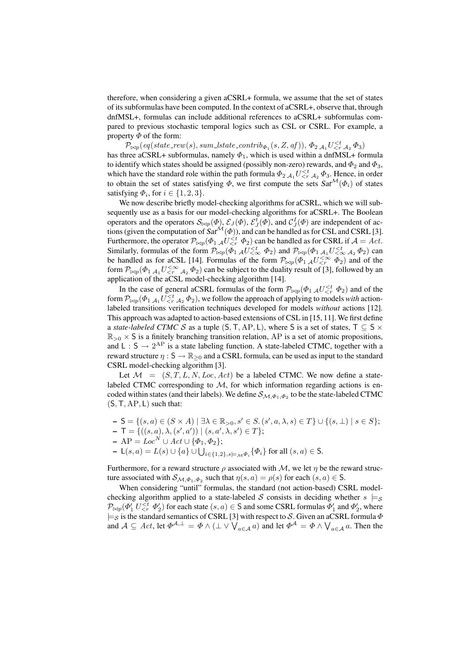therefore, when considering a given aCSRL+ formula, we assume that the set of states of its subformulas have been computed. In the context of aCSRL+, observe that, through dnfMSL+, formulas can include additional references to aCSRL+ subformulas compared to previous stochastic temporal logics such as CSL or CSRL. For example, a property  $\Phi$  of the form:

 $\mathcal{P}_{\bowtie p}(\textit{eq}(\textit{state\_rew}(s), \textit{sum\_lstate\_contrib}_{\Phi_1}(s, Z, \textit{af})), \Phi_2|_{\mathcal{A}_1} U^{$ has three aCSRL+ subformulas, namely  $\Phi_1$ , which is used within a dnfMSL+ formula to identify which states should be assigned (possibly non-zero) rewards, and  $\Phi_2$  and  $\Phi_3$ , which have the standard role within the path formula  $\Phi_2 A_1 U_{\leq r}^{t} A_2 \Phi_3$ . Hence, in order to obtain the set of states satisfying  $\Phi$ , we first compute the sets  $Sat^{\mathcal{M}}(\Phi_i)$  of states satisfying  $\Phi_i$ , for  $i \in \{1, 2, 3\}$ .

We now describe briefly model-checking algorithms for aCSRL, which we will subsequently use as a basis for our model-checking algorithms for aCSRL+. The Boolean operators and the operators  $\mathcal{S}_{\bowtie p}(\Phi)$ ,  $\mathcal{E}_{J}(\Phi)$ ,  $\mathcal{E}_{J}(\Phi)$ , and  $\mathcal{C}_{J}^{I}(\Phi)$  are independent of actions (given the computation of  $Sat^{\mathcal{M}}(\Phi)$ ), and can be handled as for CSL and CSRL [3]. Furthermore, the operator  $\mathcal{P}_{\bowtie p}(\Phi_1 \vert_{\mathcal{A}} U_{\leq r}^{\leq t} | \Phi_2)$  can be handled as for CSRL if  $\mathcal{A} = Act$ . Similarly, formulas of the form  $P_{\bowtie p}(\phi_1 A U_{\leq \infty}^{\leq t} \phi_2)$  and  $P_{\bowtie p}(\phi_1 A_1 U_{\leq \infty}^{\leq t} A_2 \phi_2)$  can be handled as for aCSL [14]. Formulas of the form  $\mathcal{P}_{\bowtie p}(\phi_1 A U_{\leq r}^{\leq \infty} \phi_2)$  and of the form  $\mathcal{P}_{\bowtie p}(\Phi_1 \vert_{\mathcal{A}_1} U_{\leq r}^{\leq \infty} \vert_{\mathcal{A}_2} \Phi_2)$  can be subject to the duality result of [3], followed by an application of the aCSL model-checking algorithm [14].

In the case of general aCSRL formulas of the form  $\mathcal{P}_{\bowtie p}(\Phi_1 |_{\mathcal{A}} U_{\leq r}^{\leq t} | \Phi_2)$  and of the form  $\mathcal{P}_{\bowtie p}(\Phi_{1,A_1}U \leq t A_2 \Phi_2)$ , we follow the approach of applying to models *with* actionlabeled transitions verification techniques developed for models *without* actions [12]. This approach was adapted to action-based extensions of CSL in [15, 11]. We first define a *state-labeled CTMC S* as a tuple  $(S, T, AP, L)$ , where S is a set of states,  $T \subseteq S \times$  $\mathbb{R}_{>0} \times S$  is a finitely branching transition relation, AP is a set of atomic propositions, and L :  $S \rightarrow 2^{AP}$  is a state labeling function. A state-labeled CTMC, together with a reward structure  $\eta : S \to \mathbb{R}_{\geq 0}$  and a CSRL formula, can be used as input to the standard CSRL model-checking algorithm [3].

Let  $\mathcal{M} = (S, T, L, N, Loc, Act)$  be a labeled CTMC. We now define a statelabeled CTMC corresponding to  $M$ , for which information regarding actions is encoded within states (and their labels). We define  $\mathcal{S}_{\mathcal{M},\Phi_1,\Phi_2}$  to be the state-labeled CTMC  $(S, T, AP, L)$  such that:

 $- S = \{ (s, a) \in (S \times A) \mid \exists \lambda \in \mathbb{R}_{>0}, s' \in S, (s', a, \lambda, s) \in T \} \cup \{ (s, \bot) \mid s \in S \};$  $\mathsf{T} = \{ ((s, a), \lambda, (s', a')) \mid (s, a', \lambda, s') \in T \};$  $- AP = Loc^N ∪ Act ∪ {Φ₁, Φ₂};$ <br>  $- L(s, a) = L(s) ∪ {a} ∪ ∪_{i ∈ {1, 2}, s |= MΦ_i} {Φ_i}$  for all  $(s, a) ∈ S$ .

Furthermore, for a reward structure  $\rho$  associated with M, we let  $\eta$  be the reward structure associated with  $\mathcal{S}_{\mathcal{M}, \Phi_1, \Phi_2}$  such that  $\eta(s, a) = \rho(s)$  for each  $(s, a) \in \mathsf{S}$ .

When considering "until" formulas, the standard (not action-based) CSRL modelchecking algorithm applied to a state-labeled S consists in deciding whether  $s \models_{\mathcal{S}}$  $\mathcal{P}_{\bowtie p}(\varPhi_1' \; U^{ for each state  $(s,a) \in \mathsf{S}$  and some CSRL formulas  $\varPhi_1'$  and  $\varPhi_2',$  where$  $\models_S$  is the standard semantics of CSRL [3] with respect to S. Given an aCSRL formula  $\Phi$  $\exists \varepsilon$  is the standard semantics of CSRL [5] with respect to 3. Given an aCSRL formula  $\varPhi$  and  $\mathcal{A} \subseteq Act$ , let  $\Phi^{\mathcal{A}, \perp} = \Phi \wedge (\perp \vee \bigvee_{a \in \mathcal{A}} a)$  and let  $\Phi^{\mathcal{A}} = \Phi \wedge \bigvee_{a \in \mathcal{A}} a$ . Then the